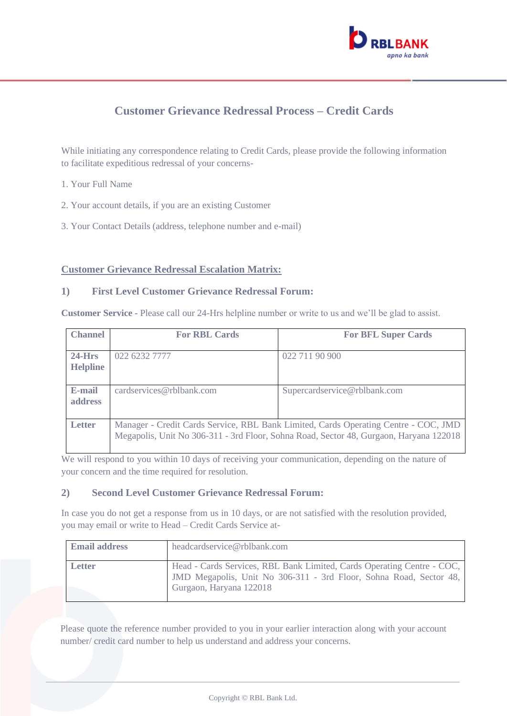

# **Customer Grievance Redressal Process – Credit Cards**

While initiating any correspondence relating to Credit Cards, please provide the following information to facilitate expeditious redressal of your concerns-

- 1. Your Full Name
- 2. Your account details, if you are an existing Customer
- 3. Your Contact Details (address, telephone number and e-mail)

#### **Customer Grievance Redressal Escalation Matrix:**

#### **1) First Level Customer Grievance Redressal Forum:**

**Customer Service -** Please call our 24-Hrs helpline number or write to us and we'll be glad to assist.

| <b>Channel</b>               | <b>For RBL Cards</b>                                                                                                                                                          | <b>For BFL Super Cards</b>   |
|------------------------------|-------------------------------------------------------------------------------------------------------------------------------------------------------------------------------|------------------------------|
| $24$ -Hrs<br><b>Helpline</b> | 022 6232 7777                                                                                                                                                                 | 022 711 90 900               |
| E-mail<br>address            | cardservices@rblbank.com                                                                                                                                                      | Supercardservice@rblbank.com |
| <b>Letter</b>                | Manager - Credit Cards Service, RBL Bank Limited, Cards Operating Centre - COC, JMD<br>Megapolis, Unit No 306-311 - 3rd Floor, Sohna Road, Sector 48, Gurgaon, Haryana 122018 |                              |

We will respond to you within 10 days of receiving your communication, depending on the nature of your concern and the time required for resolution.

#### **2) Second Level Customer Grievance Redressal Forum:**

In case you do not get a response from us in 10 days, or are not satisfied with the resolution provided, you may email or write to Head – Credit Cards Service at-

| <b>Email address</b> | headcardservice@rblbank.com                                                                                                                                             |
|----------------------|-------------------------------------------------------------------------------------------------------------------------------------------------------------------------|
| <b>Letter</b>        | Head - Cards Services, RBL Bank Limited, Cards Operating Centre - COC,<br>JMD Megapolis, Unit No 306-311 - 3rd Floor, Sohna Road, Sector 48,<br>Gurgaon, Haryana 122018 |

Please quote the reference number provided to you in your earlier interaction along with your account number/ credit card number to help us understand and address your concerns.